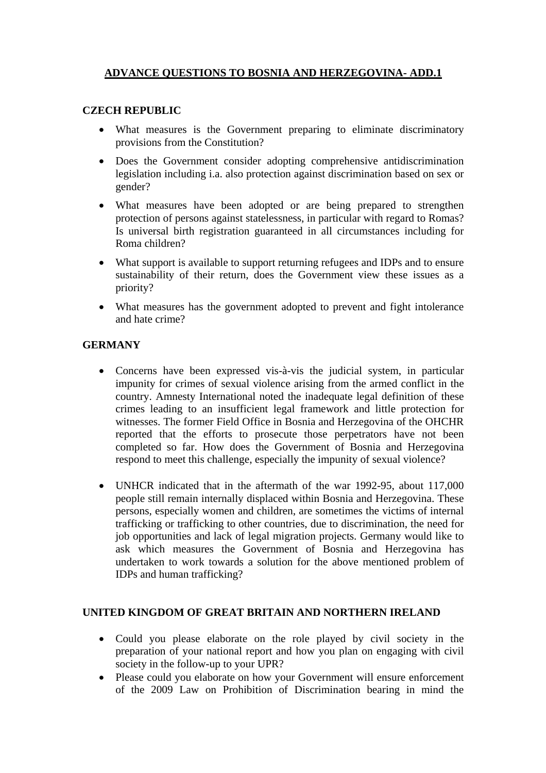## **ADVANCE QUESTIONS TO BOSNIA AND HERZEGOVINA- ADD.1**

## **CZECH REPUBLIC**

- What measures is the Government preparing to eliminate discriminatory provisions from the Constitution?
- Does the Government consider adopting comprehensive antidiscrimination legislation including i.a. also protection against discrimination based on sex or gender?
- What measures have been adopted or are being prepared to strengthen protection of persons against statelessness, in particular with regard to Romas? Is universal birth registration guaranteed in all circumstances including for Roma children?
- What support is available to support returning refugees and IDPs and to ensure sustainability of their return, does the Government view these issues as a priority?
- What measures has the government adopted to prevent and fight intolerance and hate crime?

## **GERMANY**

- Concerns have been expressed vis-à-vis the judicial system, in particular impunity for crimes of sexual violence arising from the armed conflict in the country. Amnesty International noted the inadequate legal definition of these crimes leading to an insufficient legal framework and little protection for witnesses. The former Field Office in Bosnia and Herzegovina of the OHCHR reported that the efforts to prosecute those perpetrators have not been completed so far. How does the Government of Bosnia and Herzegovina respond to meet this challenge, especially the impunity of sexual violence?
- UNHCR indicated that in the aftermath of the war 1992-95, about 117,000 people still remain internally displaced within Bosnia and Herzegovina. These persons, especially women and children, are sometimes the victims of internal trafficking or trafficking to other countries, due to discrimination, the need for job opportunities and lack of legal migration projects. Germany would like to ask which measures the Government of Bosnia and Herzegovina has undertaken to work towards a solution for the above mentioned problem of IDPs and human trafficking?

## **UNITED KINGDOM OF GREAT BRITAIN AND NORTHERN IRELAND**

- Could you please elaborate on the role played by civil society in the preparation of your national report and how you plan on engaging with civil society in the follow-up to your UPR?
- Please could you elaborate on how your Government will ensure enforcement of the 2009 Law on Prohibition of Discrimination bearing in mind the